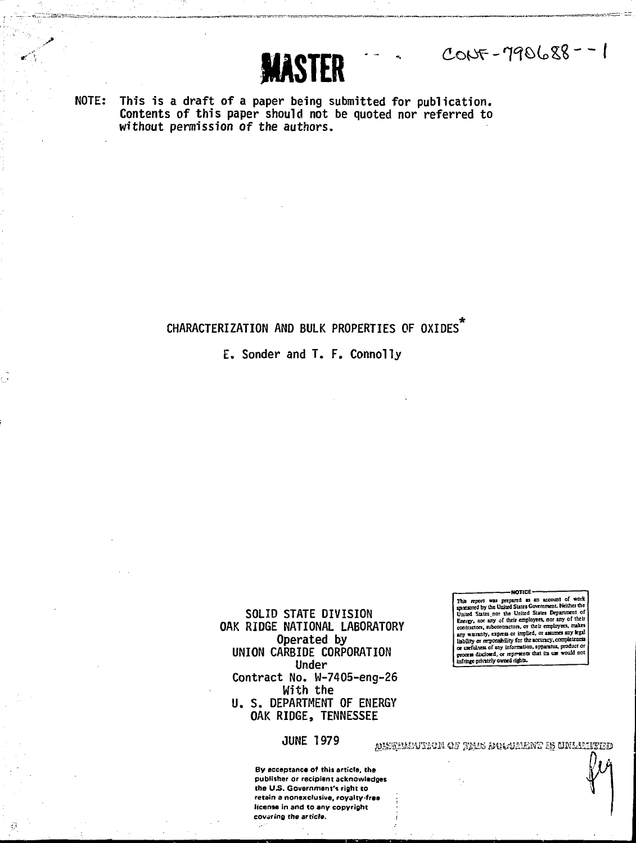**NOTE: This is a draft of a paper being submitted for publication. Contents of this paper should not be quoted nor referred to without permission of the authors.**

**MASTER** 

#### CHARACTERIZATION AND BULK PROPERTIES OF OXIDES<sup>1</sup>

**E. Sonder and T. F. Connolly**

**SOLID STATE DIVISION OAK RIDGE NATIONAL LABORATORY Operated by UNION CARBIDE CORPORATION Under Contract No. W-7405-eng-26 With the U. S. DEPARTMENT OF ENERGY OAK RIDGE, TENNESSEE**

**- NOTICE -** This report was prepared as an account of work<br>spansored by the United States Government. Neither the United States nor<br>United States nor the United States Department of<br>Energy, aor any of their employees, nor any of their liability or rrrpontibility for thesccuncy.compkttneo or uefulaen or sny lafonnatian, apparatus, product or procen dbdoKd^ or reproenti that its uje would cot infringe privately owned rights.

 $C_{005} - 790688 - 1$ 

**JUNE 197 9 ^j**

**By acceptance of this article, the publisher or recipient acknowledges the U.S. Government'\* right to retain a nonexclusive, royalty-free license in and to any copyright covering the article.**

aasgeluntice of this domenter is unlumeed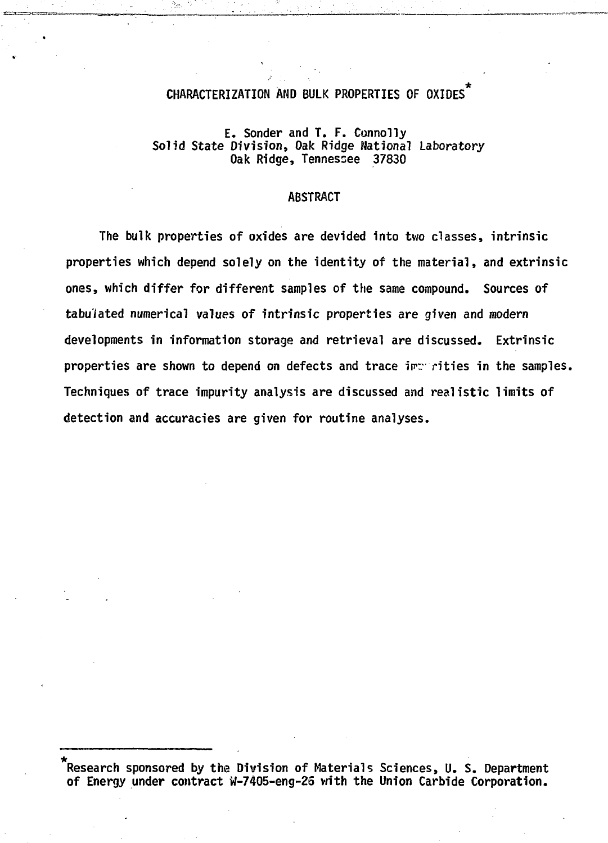# **CHARACTERIZATION AND BULK PROPERTIES OF OXIDES\***

#### **E. Sonder and T. F. Connolly Solid State Division, Oak Ridge National Laboratory Oak Ridge, Tennessee 37830**

#### **ABSTRACT**

**The bulk properties of oxides are devided into two classes, intrinsic properties which depend solely on the identity of the material, and extrinsic ones, which differ for different samples of the same compound. Sources of tabulated numerical values of intrinsic properties are given and modern developments in information storage and retrieval are discussed. Extrinsic properties are shown to depend on defects and trace imr rities in the samples. Techniques of trace impurity analysis are discussed and realistic limits of detection and accuracies are given for routine analyses.**

**<sup>\*</sup> Research sponsored by the Division of Materials Sciences, U. S. Department of Energy under contract W-7405-eng-25 with the Union Carbide Corporation.**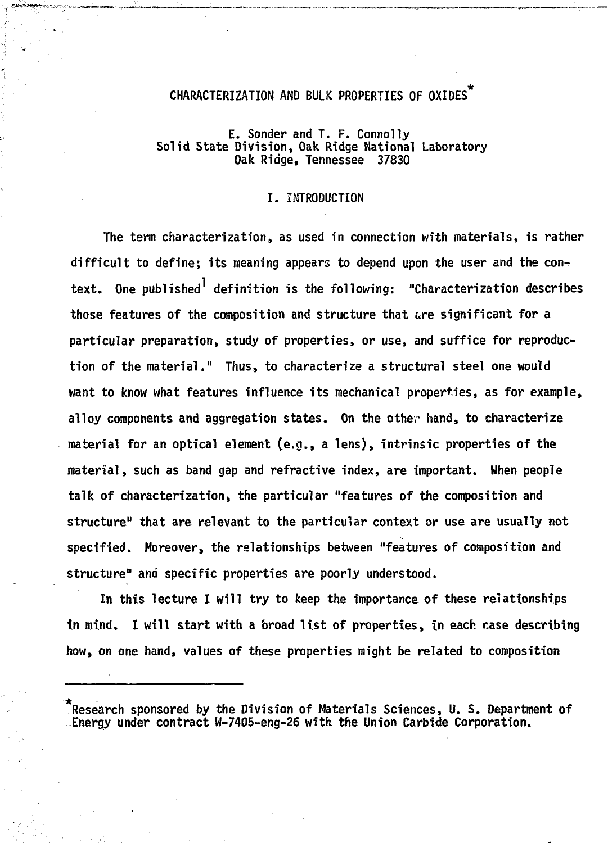# **CHARACTERIZATION AND BULK PROPERTIES OF OXIDES\***

#### **E. Sonder and T. F. Connolly Solid State Division, Oak Ridge National Laboratory Oak Ridge, Tennessee 37830**

#### **I. INTRODUCTION**

**The term characterization, as used in connection with materials, is rather difficult to define; its meaning appears to depend upon the user and the context. One published<sup>1</sup> definition is the following: "Characterization describes those features of the composition and structure that are significant for a particular preparation, study of properties, or use, and suffice for reproduction of the material." Thus, to characterize a structural steel one would want to know what features influence its mechanical properties, as for example, alloy components and aggregation states. On the other hand, to characterize material for an optical element (e.g., a lens), intrinsic properties of the material, such as band gap and refractive index, are important. When people talk of characterization» the particular "features of the composition and structure" that are relevant to the particular context or use are usually not specified. Moreover, the relationships between "features of composition and structure" and specific properties are poorly understood.**

**In this lecture I will try to keep the importance of these relationships in mind. I will start with a broad list of properties, tn each case describing how, on one hand, values of these properties might be related to composition**

**Research sponsored by the Division of Materials Sciences, U. S. Department of Energy under contract W-7405-eng-26 with the Union Carbide Corporation.**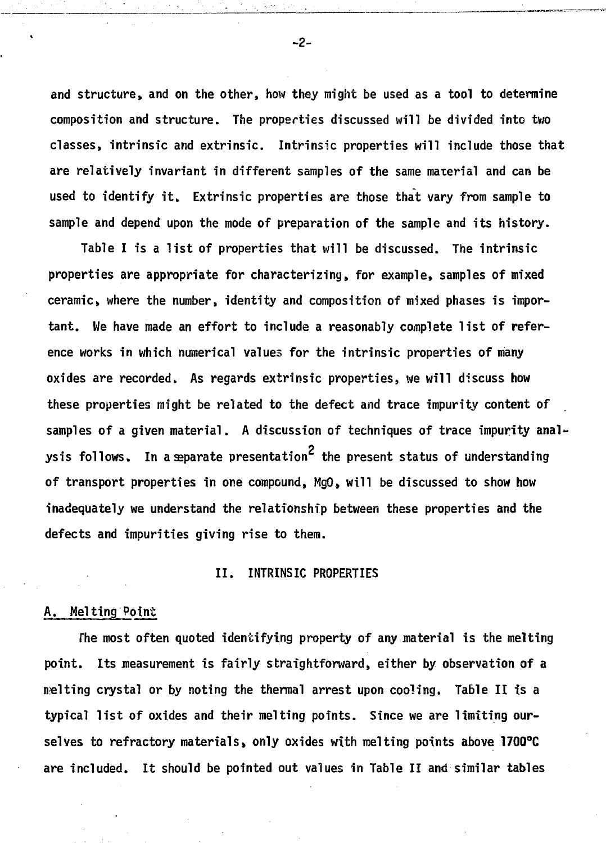**and structure, and on the other, how they might be used as a tool to determine composition and structure. The properties discussed will be divided into two classes, intrinsic and extrinsic. Intrinsic properties will include those that are relatively invariant in different samples of the same material and can be used to identify it. Extrinsic properties are those that vary from sample to sample and depend upon the mode of preparation of the sample and its history.**

**Table I is a list of properties that will be discussed. The intrinsic properties are appropriate for characterizing, for example, samples of mixed ceramic, where the number, identity and composition of mixed phases is important. We have made an effort to include a reasonably complete list of reference works in which numerical values for the intrinsic properties of many oxides are recorded. As regards extrinsic properties, we will discuss how these properties might be related to the defect and trace impurity content of samples of a given material. A discussion of techniques of trace impurity analysis follows.** In a separate presentation<sup>2</sup> the present status of understanding **of transport properties in one compound, MgO, will be discussed to show how inadequately we understand the relationship between these properties and the defects and impurities giving rise to them.**

#### **II. INTRINSIC PROPERTIES**

#### **A. Melting Point**

**The most often quoted identifying property of any material is the melting point. Its measurement is fairly straightforward, either by observation of a melting crystal or by noting the thermal arrest upon cooling. Table II is a typical list of oxides and their melting points. Since we are limiting ourselves to refractory materials, only oxides with melting points above 1700°C are included. It should be pointed out values in Table II and similar tables**

**-2-**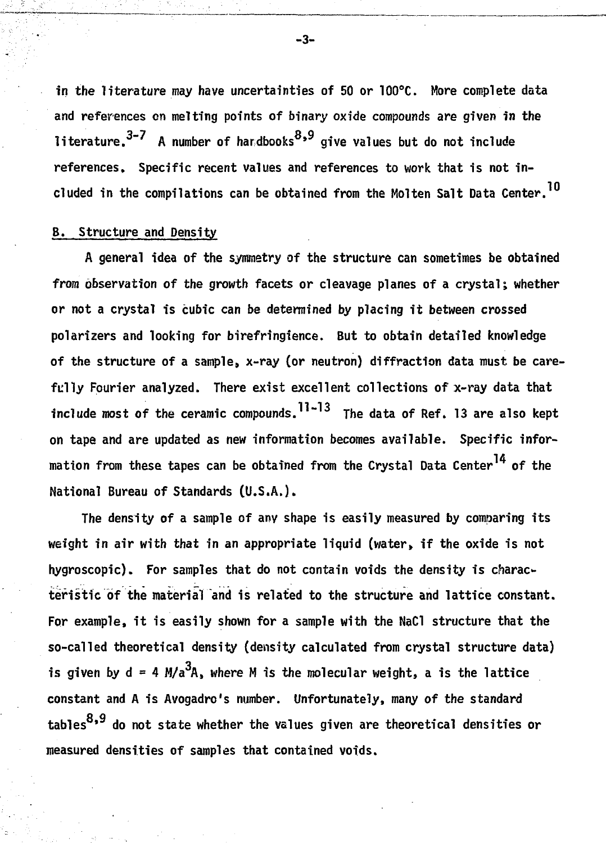**in the literature may have uncertainties of 50 or 100°C. More complete data and references en melting points of binary oxide compounds are given in the** literature.<sup>3-7</sup> A number of handbooks<sup>8,9</sup> give values but do not include references. Specific recent values and references to work that is not included in the compilations can be obtained from the Molten Salt Data Center.<sup>10</sup>

# **B. Structure and Density**

**A general idea of the symmetry of the structure can sometimes be obtained from observation of the growth facets or cleavage planes of a crystals whether or not a crystal is cubic can be determined by placing it between crossed polarizers and looking for birefringience. But to obtain detailed knowledge of the structure of a sample, x-ray (or neutron) diffraction data must be carefully Fourier analyzed. There exist excellent collections of x-ray data that 11 13 include most of the ceramic compounds. The data of Ref. 13 are also kept on tape and are updated as new information becomes available. Specific infor**mation from these tapes can be obtained from the Crystal Data Center<sup>14</sup> of the **National Bureau of Standards (U.S.A.).**

**The density of a sample of any shape is easily measured by comparing its weight in air with that in an appropriate liquid (water» if the oxide is not hygroscopic). For samples that do not contain voids the density is characteristic of the material "and is related to the structure and lattice constant. For example, it is easily shown for a sample with the NaCl structure that the so-called theoretical density (density calculated from crystal structure data)** is given by  $d = 4 M/a<sup>3</sup>A$ , where M is the molecular weight, a is the lattice **constant and A is Avogadro's number. Unfortunately, many of the standard** tables  $8,9$  do not state whether the values given are theoretical densities or **tables \* do not state whether the values given are theoretical densities or**

**-3-**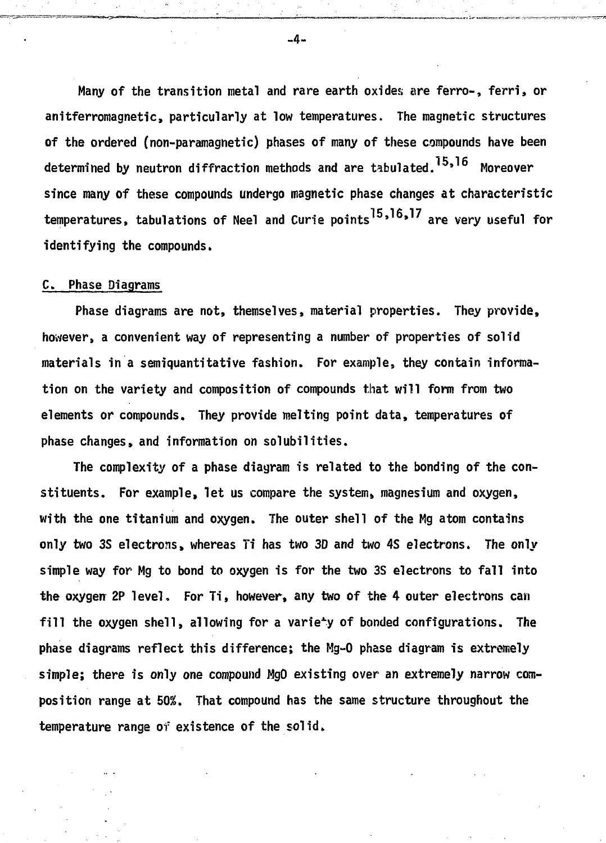**Many of the transition metal and rare earth oxides are ferro-, ferri, or anitferromagnetic, particularly at low temperatures. The magnetic structures of the ordered (non-paramagnetic) phases of many of these compounds have been** determined by neutron diffraction methods and are tabulated.<sup>15,16</sup> Moreover **since many of these compounds undergo magnetic phase changes at characteristic temperatures, tabulations of Nee! and Curie points ' » are very useful for identifying the compounds.**

#### **C. Phase Diagrams**

**Phase diagrams are not, themselves, material properties. They provide, however, a convenient way of representing a number of properties of solid materials in a semiquantitative fashion. For example, they contain information on the variety and composition of compounds that will form from two elements or compounds. They provide melting point data, temperatures of phase changes, and information on solubilities.**

**The complexity of a phase diagram is related to the bonding of the constituents. For example, let us compare the system, magnesium and oxygen, with the one titanium and oxygen. The outer shell of the Mg atom contains only two 3S electrons, whereas Ti has two 3D and two 4S electrons. The only simple way for Mg to bond to oxygen is for the two 3S electrons to fall into the oxygerr 2P level. For Ti, however, any two of the 4 outer electrons can fill the oxygen shell, allowing for a variety of bonded configurations. The phase diagrams reflect this difference; the Mg-0 phase diagram is extremely simple; there is only one compound MgO existing over an extremely narrow composition range at 50%. That compound has the same structure throughout the temperature range of existence of the solid.**

 $-4-$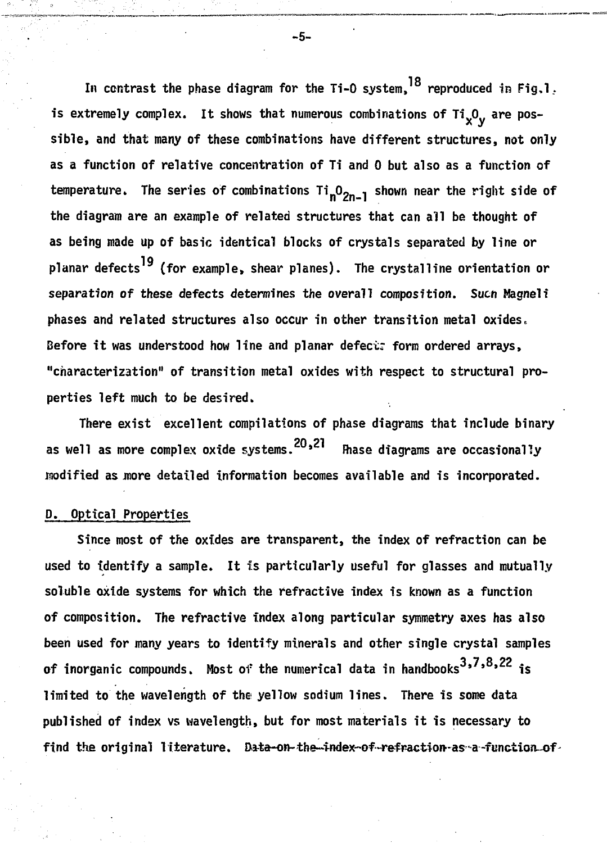In contrast the phase diagram for the Ti-O system,<sup>18</sup> reproduced in Fig,l<u>.</u> is extremely complex. It shows that numerous combinations of Ti<sub>x</sub>O<sub>y</sub> are possible, and that many of these combinations have different structures, not only as a function of relative concentration of Ti and 0 but also as a function of temperature. The series of combinations Ti<sub>n</sub>O<sub>2n-1</sub> shown near the right side of the diagram are an example of related structures that can all be thought of as being made up of basic identical blocks of crystals separated by line or planar defects<sup>19</sup> (for example, shear planes). The crystalline orientation or separation of these defects determines the overall composition. Such Magneli phases and related structures also occur in other transition metal oxides. Before it was understood how line and planar defect: form ordered arrays. "characterization" of transition metal oxides with respect to structural properties left much to be desired.

There exist excellent compilations of phase diagrams that include binary  $T_{\text{max}}$  exists exists of phase diagrams that include binary  $\frac{1}{20.21}$  exists binary  $\frac{1}{20.21}$  exists binary  $\frac{1}{20.21}$ as well as more complex oxide systems. **"In a particular and a** are occasionally **modified as .more detailed information becomes available and is incorporated.**

# **D. Optical Properties**

**Since most of the oxides are transparent, the index of refraction can be used to identify a sample. It is particularly useful for glasses and mutually soluble oxide systems for which the refractive index is known as a function of composition. The refractive index along particular symmetry axes has also been used for many years to identify minerals and other single crystal samples** of inorganic compounds. Most of the numerical data in handbooks<sup>3,7,8,22</sup> is **limited to the wavelength of the yellow sodium lines. There is some data published of index vs wavelength, but for most materials it is necessary to** find the original literature. Data-on-the-index-of-refraction-as-a-function of

**-5-**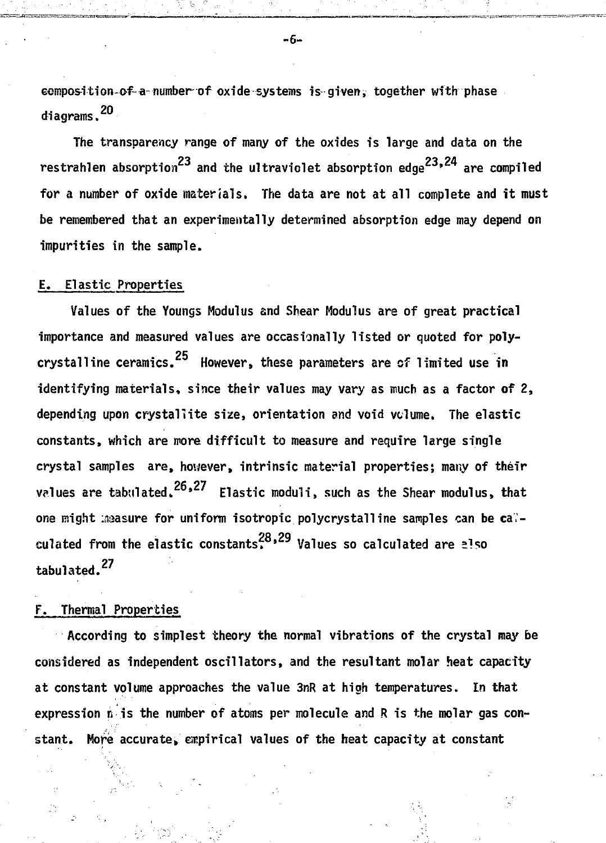**GOMPOSItion-of-a-number of oxide systems is given, together with phase diagrams.**

**The transparency range of many of the oxides is large and data on the** restrahlen absorption<sup>23</sup> and the ultraviolet absorption edge<sup>23,24</sup> are compiled for a number of oxide materials. The data are not at all complete and it must be remembered that an experimentally determined absorption edge may depend on **impurities in the sample.** 

#### **E. Elastic Properties**

**Values of the Youngs Modulus and Shear Modulus are of great practical importance and measured values are occasionally listed or quoted for poly**crystalline ceramics.<sup>25</sup> However, these parameters are of limited use in **identifying materials, since their values may vary as much as a factor of 2, depending upon crystallite size, orientation and void volume. The elastic constants, which are more difficult to measure and require large single crystal samples are, however, intrinsic material properties; many of their** values are tabulated.<sup>26,27</sup> Elastic moduli, such as the Shear modulus, that one might measure for uniform isotropic polycrystalline samples can be cal-28 29 **culated from the elastic constants.' Values so calculated are also tabulated.<sup>27</sup>**

## **F. Thermal Properties**

**According to simplest theory the normal vibrations of the crystal may be considered as independent oscillators, and the resultant molar heat capacity at constant volume approaches the value 3nR at high temperatures. In that expression n is the number of atoms per molecule and R is the molar gas con**stant. More accurate, empirical values of the heat capacity at constant

-6-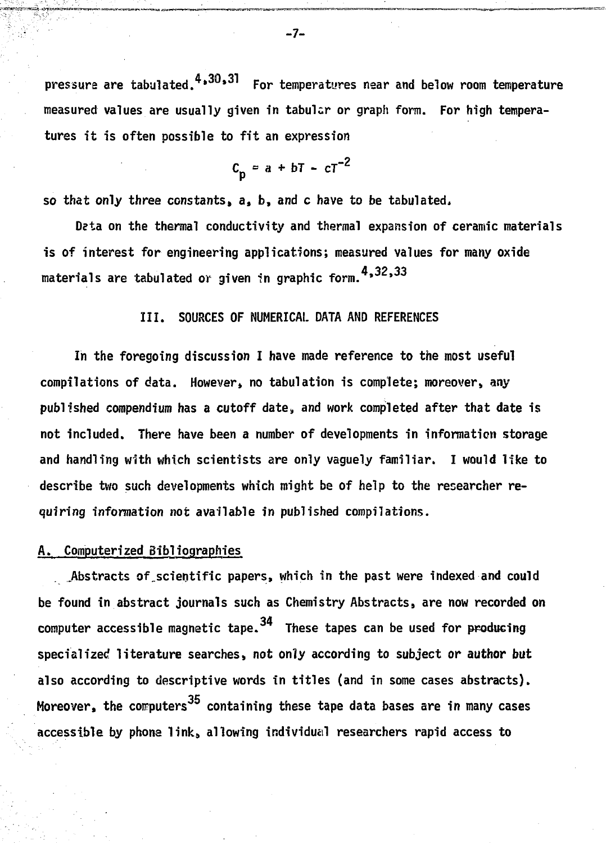**pressure are tabulated. • \* For temperatures near and below room temperature measured values are usually given in tabular or graph form. For high temperatures it is often possible to fit an expression**

$$
c_p = a + bT - cT^{-2}
$$

**so that only three constants, a, b, and c have to be tabulated.**

**Deta on the thermal conductivity and thermal expansion of ceramic materials is of interest for engineering applications; measured values for many oxide materials are tabulated or given in graphic form. \* '**

#### **III. SOURCES OF NUMERICAL DATA AND REFERENCES**

**In the foregoing discussion I have made reference to the most useful compilations of data. However, no tabulation is complete; moreover, any published compendium has a cutoff date,, and work completed after that date is not included. There have been a number of developments in information storage and handling with which scientists are only vaguely familiar. I would like to describe two such developments which might be of help to the researcher requiring information not available in published compilations.**

# **A. Computerized Bibliographies**

**.Abstracts of\_scientific papers, which in the past were indexed and could be found in abstract journals such as Chemistry Abstracts, are now recorded on computer accessible magnetic tape. These tapes can be used for producing specialized literature searches, not only according to subject or author but also according to descriptive words in titles (and in some cases abstracts).** Moreover, the computers<sup>35</sup> containing these tape data bases are in many cases **Accessible by phone link, allowing individual researchers rapid access to** 

**accessible by phone link, allowing individual researchers rapid access to**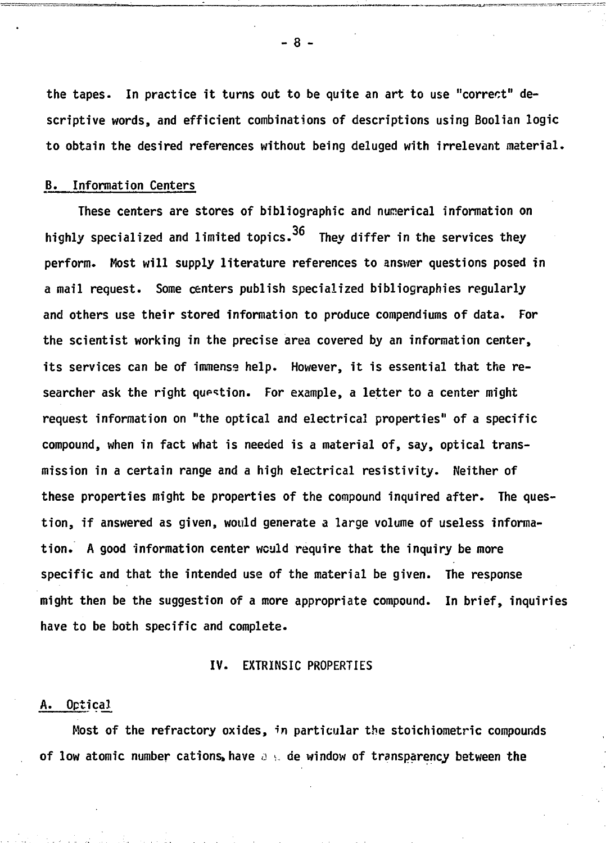**the tapes. In practice it turns out to be quite an art to use "correct" descriptive words, and efficient combinations of descriptions using Boolian logic to obtain the desired references without being deluged with irrelevant material.**

# **B. Information Centers**

**These centers are stores of bibliographic and numerical information on highly specialized and limited topics. They differ in the services they perform. Most will supply literature references to answer questions posed in a mail request. Some centers publish specialized bibliographies regularly and others use their stored information to produce compendiums of data. For the scientist working in the precise area covered by an information center, its services can be of immense help. However, it is essential that the researcher ask the right qup^tion. For example, a letter to a center might request information on "the optical and electrical properties" of a specific compound, when in fact what is needed is a material of, say, optical transmission in a certain range and a high electrical resistivity. Neither of these properties might be properties of the compound inquired after. The question, if answered as given, would generate a large volume of useless information. A good information center would require that the inquiry be more specific and that the intended use of the material be given. The response might then be the suggestion of a more appropriate compound. In brief, inquiries have to be both specific and complete.**

#### **IV. EXTRINSIC PROPERTIES**

#### **A. Optical**

**Most of the refractory oxides, in particular the stoichiometric compounds of low atomic number cations, have**  $a \in \mathcal{A}$  de window of transparency between the

**- 8 -**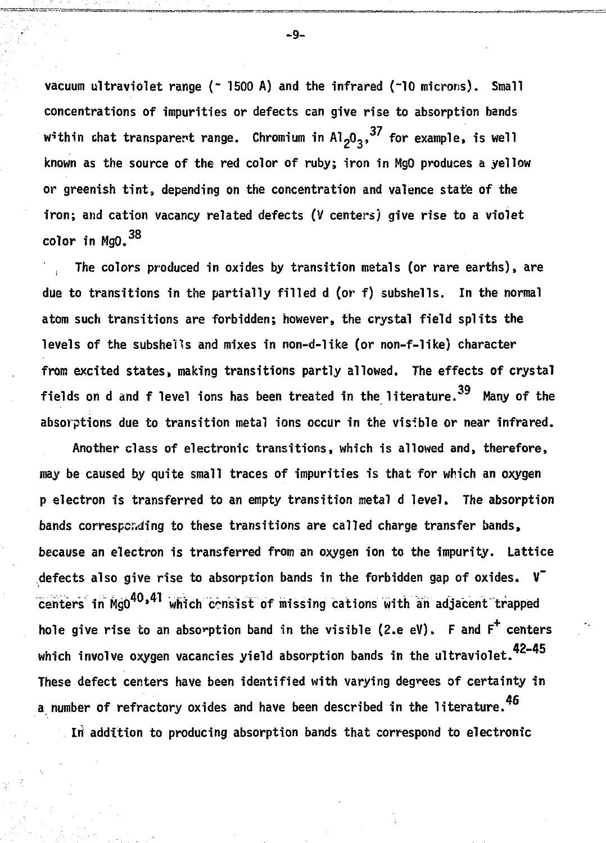**vacuum ultraviolet range (~ 1500 A) and the infrared (~10 microns). Small concentrations of impurities or defects can give rise to absorption bands** within chat transparent range. Chromium in Al<sub>2</sub>O<sub>3</sub>,<sup>37</sup> for example, is well **known as the source of the red color of ruby; iron in MgO produces a yellow or greenish tint, depending on the concentration and valence state of the iron; and cation vacancy related defects (V centers) give rise to a violet color in MgO.<sup>38</sup>**

**, The colors produced in oxides by transition metals (or rare earths), are due to transitions in the partially filled d (or f) subshells. In the normal atom such transitions are forbidden; however, the crystal field splits the levels of the subshells and mixes in non-d-like (or non-f-like) character from excited states, making transitions partly allowed. The effects of crystal fields on d and f level ions has been treated in the literature." Many of the absorptions due to transition metal ions occur in the visible or near infrared.**

**Another class of electronic transitions, which is allowed and, therefore, may be caused by quite small traces of impurities is that for which an oxygen p electron is transferred to an empty transition metal d level. The absorption** bands corresponding to these transitions are called charge transfer bands, **because an electron is transferred from an oxygen ion to the impurity. Lattice defects also give rise to absorption bands in the forbidden gap of oxides. V"** centers in MgO<sup>40,41</sup> which consist of missing cations with an adjacent trapped **hole give rise to an absorption band in the visible (2.e eV). F and F<sup>+</sup> centers which involve oxygen vacancies yield absorption bands in the ultraviolet. These defect centers have been identified with varying degrees of certainty in a number of refractory oxides and have been described in the literature.**

**In addition to producing absorption bands that correspond to electronic**

-9-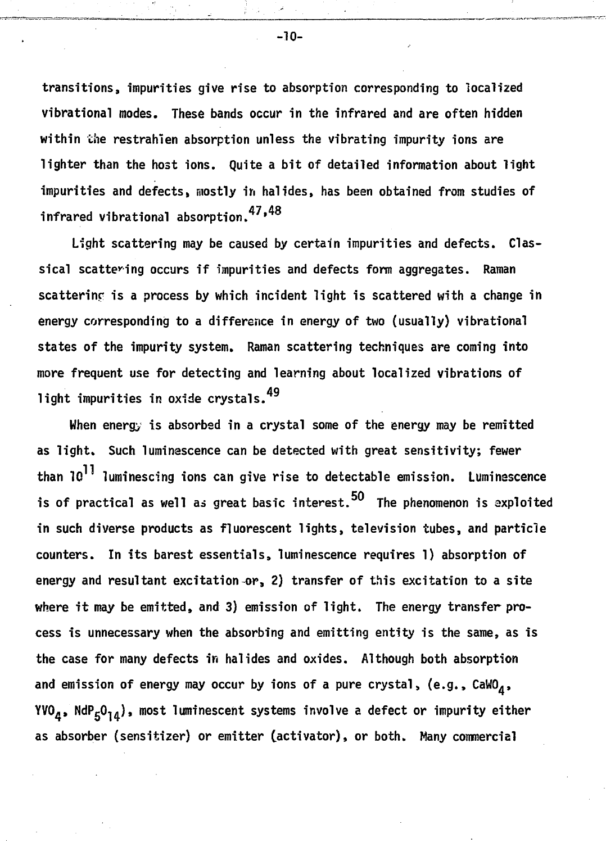**transitions, impurities give rise to absorption corresponding to localized vibrational modes. These bands occur in the infrared and are often hidden within the restrahien absorption unless the vibrating impurity ions are lighter than the host ions. Quite a bit of detailed information about light impurities and defects, mostly ih halides, has been obtained from studies of infrared vibrational absorption.<sup>47</sup>'**

**Light scattering may be caused by certain impurities and defects. Classical scattering occurs if impurities and defects form aggregates. Raman scatterinp is a process by which incident light is scattered with a change in energy corresponding to a difference in energy of two (usually) vibrational states of the impurity system. Raman scattering techniques are coming into more frequent use for detecting and learning about localized vibrations of** 49 **light impurities in oxide crystals.**

**When energy is absorbed in a crystal some of the energy may be remitted** as light. Such luminescence can be detected with great sensitivity; fewer **than 1Q luminescing ions can give rise to detectable emission. Luminescence is of practical as well ai great basic interest. The phenomenon is axploited in such diverse products as fluorescent lights, television tubes, and particle counters. In its barest essentials, luminescence requires 1) absorption of energy and resultant excitation or, 2) transfer of this excitation to a site where it may be emitted, and 3) emission of light. The energy transfer process is unnecessary when the absorbing and emitting entity is the same, as is the case for many defects in halides and oxides. Although both absorption and emission of energy may occur by ions of a pure crystal, (e.g., CaW04,** YVO<sub> $A$ </sub>, NdP<sub>5</sub>O<sub>1</sub>, most luminescent systems involve a defect or impurity either **as absorber (sensitizer) or emitter (activator), or both. Many commercial**

-10-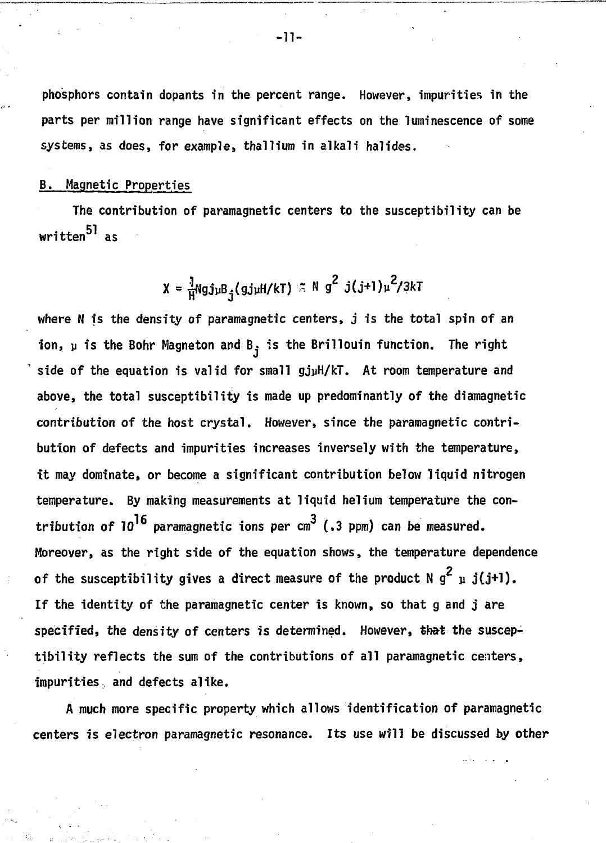**phosphors contain dopants in the percent range. However, impurities in the parts per million range have significant effects on the luminescence of some systems, as does, for example, thallium in alkali halides.**

## **B. Magnetic Properties**

**The contribution of paramagnetic centers to the susceptibility can be written as**

$$
X = \frac{1}{H} Ngj_{\mu}B_{j}(gj_{\mu}H/kT) \leq N g^{2} j(j+1)\mu^{2}/3kT
$$

**where N is the density of paramagnetic centers> j is the total spin of an** ion,  $\mu$  is the Bohr Magneton and B<sub>i</sub> is the Brillouin function. The right **side of the equation is valid for small gjyH/kT. At room temperature and above, the total susceptibility is made up predominantly of the diamagnetic contribution of the host crystal. However, since the paramagnetic contribution of defects and impurities increases inversely with the temperature, it may dominate, or become a significant contribution below liquid nitrogen temperature. By making measurements at liquid helium temperature the con**tribution of  $10^{16}$  paramagnetic ions per  $cm^3$  (.3 ppm) can be measured. **Moreover, as the right side of the equation shows, the temperature dependence** of the susceptibility gives a direct measure of the product  $N g^2$   $\mu$  j(j+l). **If the identity of the paramagnetic center is known, so that g and j are** specified, the density of centers is determined. However, that the suscep**tibility reflects the sum of the contributions of all paramagnetic centers, impurities, and defects alike.**

**A much more specific property which allows identification of paramagnetic centers is electron paramagnetic resonance. Its use will be discussed by other**

**-n-**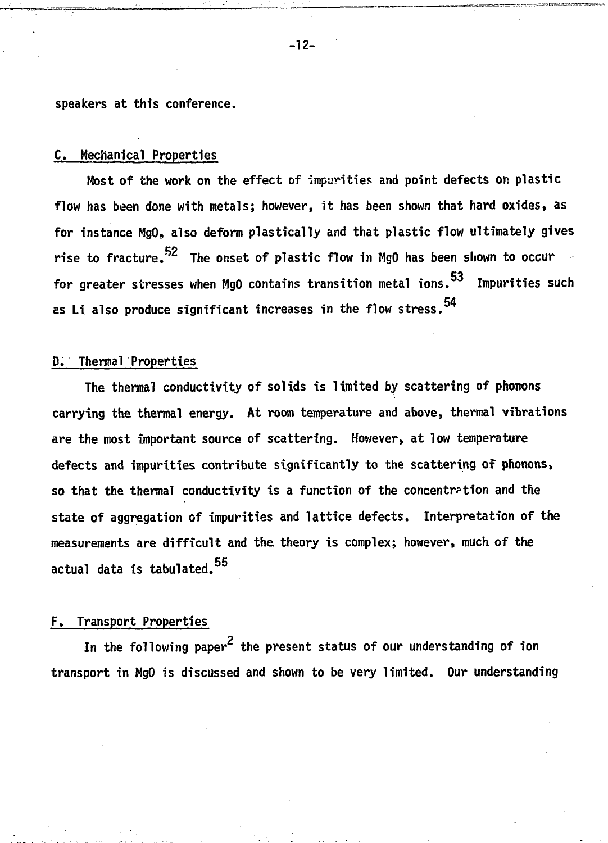**speakers at this conference.**

# **C. Mechanical Properties**

**Most of the work on the effect of impurities and point defects on plastic flow has been done with metals; however, it has been shown that hard oxides, as for instance MgO, also deform plastically and that plastic flow ultimately gives rise to fracture.<sup>52</sup> The onset of plastic flow in MgO has been shown to occur**  for greater stresses when MgO contains transition metal ions.<sup>53</sup> Impurities such **for grading in Tanasas in the flow stress. 54** 

#### **D. Thermal Properties**

**The thermal conductivity of solids is limited by scattering of phonons carrying the thermal energy. At room temperature and above, thermal vibrations** are the most important source of scattering. However, at low temperature **defects and impurities contribute significantly to the scattering of phonons,** so that the thermal conductivity is a function of the concentration and the **state of aggregation of impurities and lattice defects. Interpretation of the measurements are difficult and the theory is complex; however, much of the 55 actual data is tabulated.**

# **F. Transport Properties**

**In the following pap paper the present status of our understanding of iontransport in MgO is discussed and shown to be very limited. Our understanding**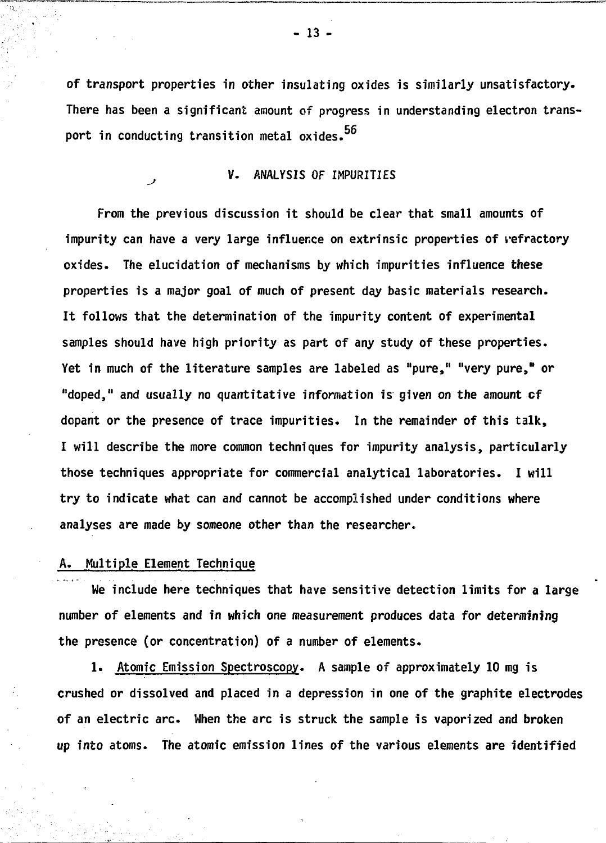**of transport properties in other insulating oxides is similarly unsatisfactory. There has been a significant amount of progress in understanding electron transport in conducting transition metal oxides.**

# **^ V. ANALYSIS OF IMPURITIES**

**From the previous discussion it should be clear that small amounts of impurity can have a very large influence on extrinsic properties of refractory oxides. The elucidation of mechanisms by which impurities influence these properties is a major goal of much of present day basic materials research. It follows that the determination of the impurity content of experimental samples should have high priority as part of any study of these properties. Yet in much of the literature samples are labeled as "pure," "very pure," or "doped," and usually no quantitative information is given on the amount cf dopant or the presence of trace impurities. In the remainder of this talk, I will describe the more common techniques for impurity analysis, particularly those techniques appropriate for commercial analytical laboratories. I will try to indicate what can and cannot be accomplished under conditions where** analyses are made by someone other than the researcher.

# **A. Multiple Element Technique**

**We include here techniques that have sensitive detection limits for a large number of elements and in which one measurement produces data for determining the presence (or concentration) of a number of elements.**

**1. Atomic Emission Spectroscopy. A sample of approximately 10 mg is crushed or dissolved and placed in a depression in one of the graphite electrodes of an electric arc. When the arc is struck the sample is vaporized and broken up into atoms. The atomic emission lines of the various elements are identified**

**- 13 -**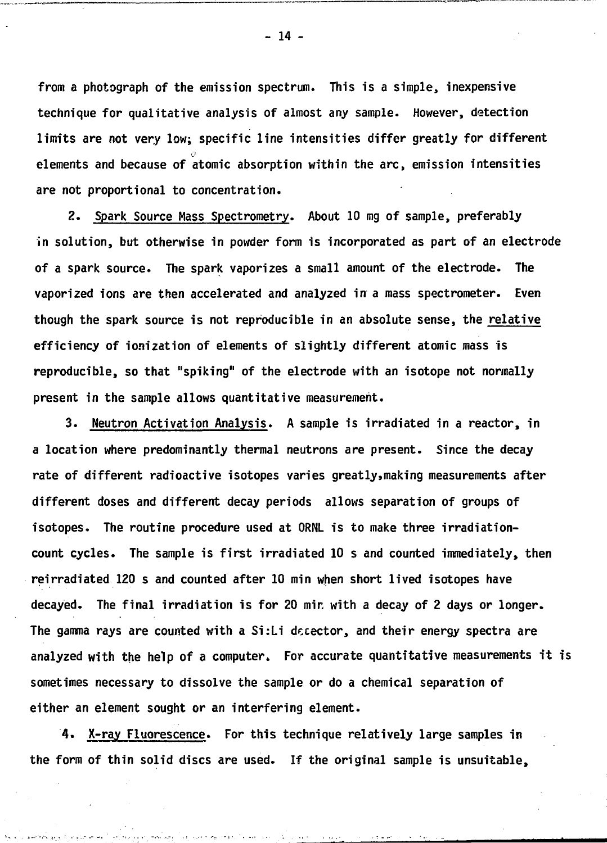**from a photograph of the emission spectrum. This is a simple, inexpensive technique for qualitative analysis of almost any sample. However, detection limits are not very low; specific line intensities differ greatly for different** elements and because of atomic absorption within the arc, emission intensities are not proportional to concentration.

**2. Spark Source Mass Spectrometry. About 10 mg of sample, preferably** in solution, but otherwise in powder form is incorporated as part of an electrode of a spark source. The spark vaporizes a small amount of the electrode. **The of a spark source. The spark vaporizes a small amount of the electrode. The** vaporized ions are then accelerated and analyzed in a mass spectrometer. Even though the spark source is not reproducible in an absolute sense, the relative **though the spark source is not reproducible in an absolute sense, the relative** efficiency of ionization of elements of slightly different atomic mass is reproducible, so that "spiking" of the electrode with an isotope not normally present in the sample allows quantitative measurement.

3. Neutron Activation Analysis. A sample is irradiated in a reactor, in **3. Neutron Activation Analysis. A sample is irradiated in a reactor, in** a location where predominantly thermal neutrons are present. Since the decay rate of different radioactive isotopes varies greatly, making measurements after different doses and different decay periods allows separation of groups of isotopes. The routine procedure used at ORNL is to make three irradiation**isotopes. The routine procedure used at ORNL is to make three irradiation**count cycles. The sample is first irradiated 10 s and counted immediately, then reirradiated 120 s and counted after 10 min when short lived isotopes have **reirradiated 120 s and counted after 10 min when short lived isotopes have** decaved. The final irradiation is for 20 min with a decay of 2 days or longer. **decayed. The final irradiation is for 20 mir with a decay of 2 days or longer.** The gamma rays are counted with a Si:Li decector, and their energy spectra are **The gamma rays are counted with a Si:Li decector, and their energy spectra are** analyzed with the help of a computer. For accurate quantitative measurements it is sometimes necessary to dissolve the sample or do a chemical separation of **either an element sought or an interfering element.**

**4. X-ray Fluorescence. For this technique relatively large samples in the form of thin solid discs are used. If the original sample is unsuitable,**

**- 14 -**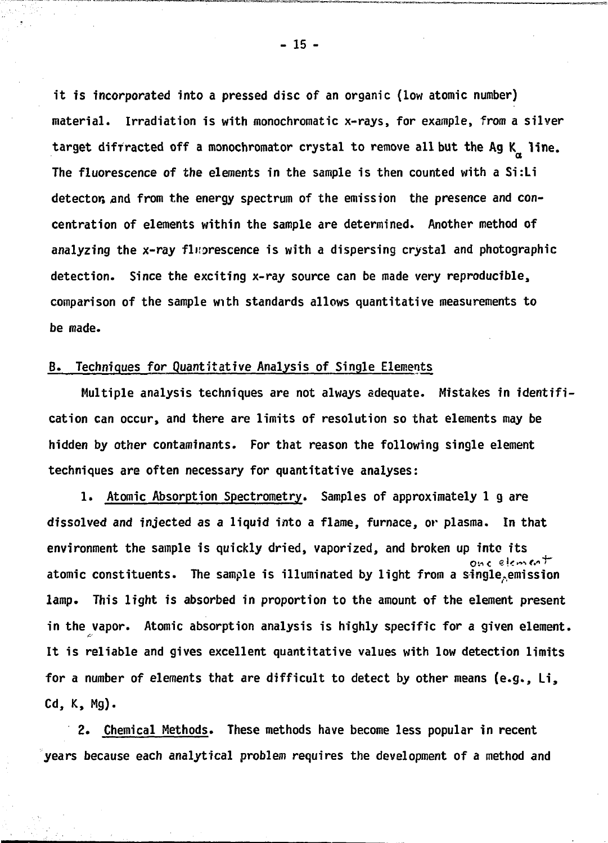**it is incorporated into a pressed disc of an organic (low atomic number) material. Irradiation is with monochromatic x-rays, for example, from a silver** target diffracted off a monochromator crystal to remove all but the Ag K<sub>a</sub> line. The fluorescence of the elements in the sample is then counted with a Si:Li detector, and from the energy spectrum of the emission the presence and con**detector, and from the energy spectrum of the emission the presence and con**analyzing the x-ray fluorescence is with a dispersing crystal and photographic **analyzing the x-ray fluorescence is with a dispersing crystal and photographic detection. Since the exciting x-ray source can be made very reproducible,**

# **B. Techniques for Quantitative Analysis of Single Elements**

**Multiple analysis techniques are not always adequate. Mistakes in identification can occur, and there are limits of resolution so that elements may be hidden by other contaminants. For that reason the following single element techniques are often necessary for quantitative analyses:**

**1. Atomic Absorption Spectrometry. Samples of approximately 1 g are dissolved and injected as a liquid into a flame, furnace, or plasma. In that environment the sample is quickly dried, vaporized, and broken up into its atomic constituents. The sample is illuminated by light from a single.emission lamp. This light is absorbed in proportion to the amount of the element present in the vapor. Atomic absorption analysis is highly specific for a given element. It is reliable and gives excellent quantitative values with low detection limits for a number of elements that are difficult to detect by other means (e.g., Li, Cd, K, Mg).**

**2. Chemical Methods. These methods have become less popular in recent years because each analytical problem requires the development of a method and**

**- 15 -**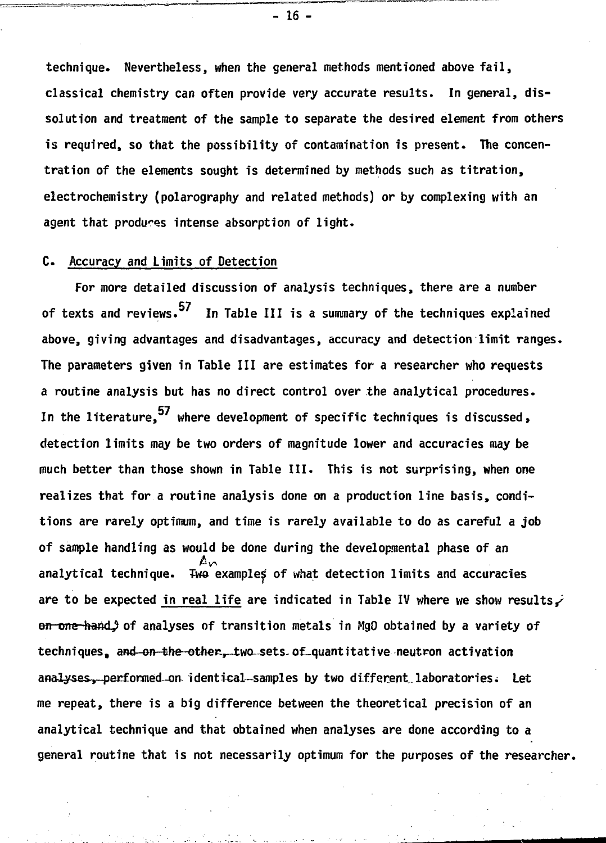**technique. Nevertheless, when the general methods mentioned above fail, classical chemistry can often provide very accurate results. In general, dissolution and treatment of the sample to separate the desired element from others is required, so that the possibility of contamination is present. The concentration of the elements sought is determined by methods such as titration, electrochemistry (polarography and related methods) or by complexing with an agent that produces intense absorption of light.**

# **C. Accuracy and Limits of Detection**

**For more detailed discussion of analysis techniques, there are a number of texts and reviews. In Table III is a summary of the techniques explained above, giving advantages and disadvantages, accuracy and detection limit ranges. The parameters given in Table III are estimates for a researcher who requests a routine analysis but has no direct control over the analytical procedures. In the literature, where development of specific techniques is discussed> detection limits may be two orders of magnitude lower and accuracies may be much better than those shown in Table III. This is not surprising, when one realizes that for a routine analysis done on a production line basis, conditions are rarely optimum, and time is rarely available to do as careful a job of sample handling as would be done during the developmental phase of an analytical technique. Two example^ of what detection limits and accuracies are to be expected in real life are indicated in Table IV where we show results/ en one hand,? of analyses of transition metals in HgO obtained by a variety of techniques, afld-on-the--other-r-two--sets-of\_quantitative neutron activation anai^es^-performed-orv identical-samples by two different laboratories \* Let me repeat, there is a big difference between the theoretical precision of an analytical technique and that obtained when analyses are done according to a general routine that is not necessarily optimum for the purposes of the researcher.**

**- 16 -**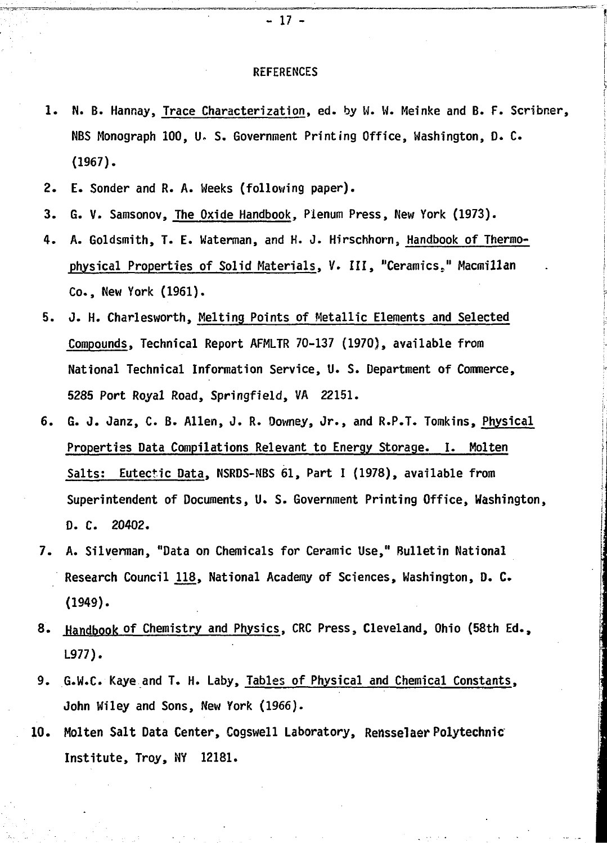#### **REFERENCES**

- **1. N. B. Hannay, Trace Characterization, ed. by W. W. Meinke and B. F. Scribner, NBS Monograph 100, U- S. Government Printing Office, Washington, D. C. (1967).**
- **2. E. Sonder and R. A. Weeks (following paper).**
- **3. G. V. Samsonov, The Oxide Handbook, Plenum Press, New York (1973).**
- **4. A. Goldsmith, T. E. Waterman, and H. J. Hirschhorn, Handbook of Thermophysical Properties of Solid Materials, V. Ill, "Ceramics," Macmillan Co., New York (1961).**
- **5. J. H. Charlesworth, Melting Points of Metallic Elements and Selected Compounds, Technical Report AFMLTR 70-137 (1970), available from National Technical Information Service, U. S. Department of Commerce, 5285 Port Royal Road, Springfield, VA 22151.**
- **6. G. J. Janz, C. B. Allen, J. R. Downey, Jr., and R.P.T. Tomkins, Physical Properties Data Compilations Relevant to Energy Storage. I. Molten Salts: Eutectic Data, NSRDS-NBS 61, Part I (1978), available from Superintendent of Documents, U. S. Government Printing Office, Washington, D. C. 20402.**
- **7. A. Silverman, "Data on Chemicals for Ceramic Use," Bulletin National Research Council JJL8, National Academy of Sciences, Washington, D. C. (1949).**
- **8. Handbook of Chemistry and Physics, CRC Press, Cleveland, Ohio (58th Ed., L977).**
- **9. G.W.C Kaye and T. H. Laby, Tables of Physical and Chemical Constants, John Wiley and Sons, New York (1966).**
- **10. Molten Salt Data Center, Cogswell Laboratory, Rensselaer Polytechnic Institute, Troy, NY 12181.**

**- 17 -**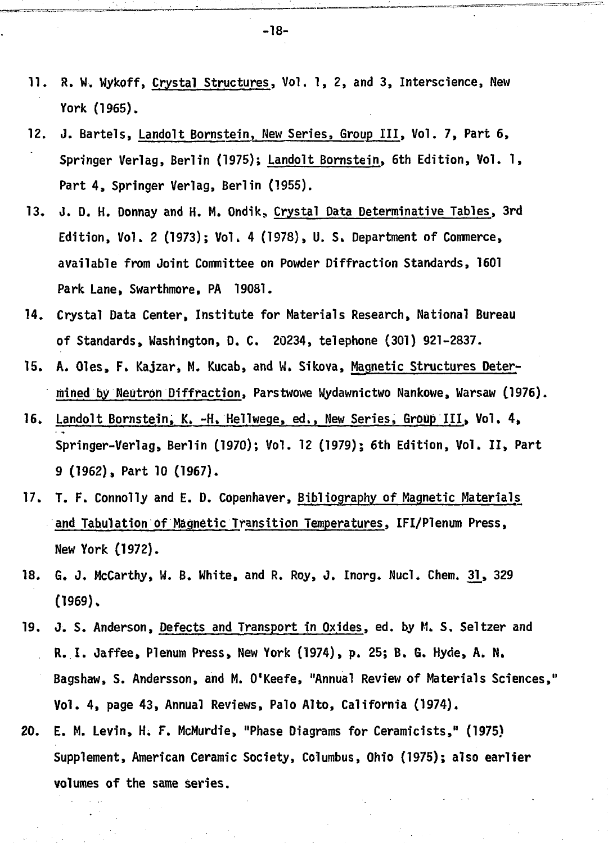- **11. R. W. Wykoff, Crystal Structures, Vol. 1, 2, and 3, Interscience, New York (1965).**
- **12. J. Bartels, Landolt Bornstein, New Series, Group III, Vol. 7, Part 6, Springer Verlag, Berlin (1975); Landolt Bornstein, 6th Edition, Vol. 1, Part 4, Springer Verlag, Berlin (1955).**
- **13. J. D. H. Donnay and H. M. Ondik, Crystal Data Determinative Tables, 3rd Edition, Vol. 2 (1973); Vol. 4 (1978), U. S. Department of Commerce, available from Joint Committee on Powder Diffraction Standards, 1601 Park Lane, Swarthmore, PA 19081.**
- **14. Crystal Data Center, Institute for Materials Research, National Bureau of Standards, Washington, D. C. 20234, telephone (301) 921-2837.**
- **15. A. Oles, F. Kajzar, M. Kucab, and U. Sikova, Magnetic Structures Determined by Neutron Diffraction, Parstwowe Wydawnictwo Nankowe, Warsaw (1976).**
- **16. Landolt Bornstein, K. -H. Hellwege, ed., New Series, Group III, Vol. 4, Springer-Verlag, Berlin (1970); Vol. 12 (1979); 6th Edition, Vol. II, Part 9 (1962), Part 10 (1967).**
- **17. T. F. Connolly and E. D. Copenhaver, Bibliography of Magnetic Materials and Tabulation of Magnetic Transition Temperatures, IFI/Plenum Press, New York (1972).**
- **18. G. J. McCarthy, W. B. White, and R. Roy, J. Inorg. Nucl, Chem. 31\_, 329 (1969).**
- **19. J. S. Anderson, Defects and Transport in Oxides, ed. by M. S. Seltzer and R..I. Jaffee, Plenum Press, New York (1974), p. 25; B. G. Hyde, A. N. Bagshaw, S. Andersson, and M. 0'Keefe, "Annual Review of Materials Sciences," Vol. 4, page 43, Annual Reviews, Palo Alto, California (1974).**
- **20. E. M. Levin, H. F. McMurdie, "Phase Diagrams for Ceramicists," (1975) Supplement, American Ceramic Society, Columbus, Ohio (1975); also earlier volumes of the same series.**

**-18-**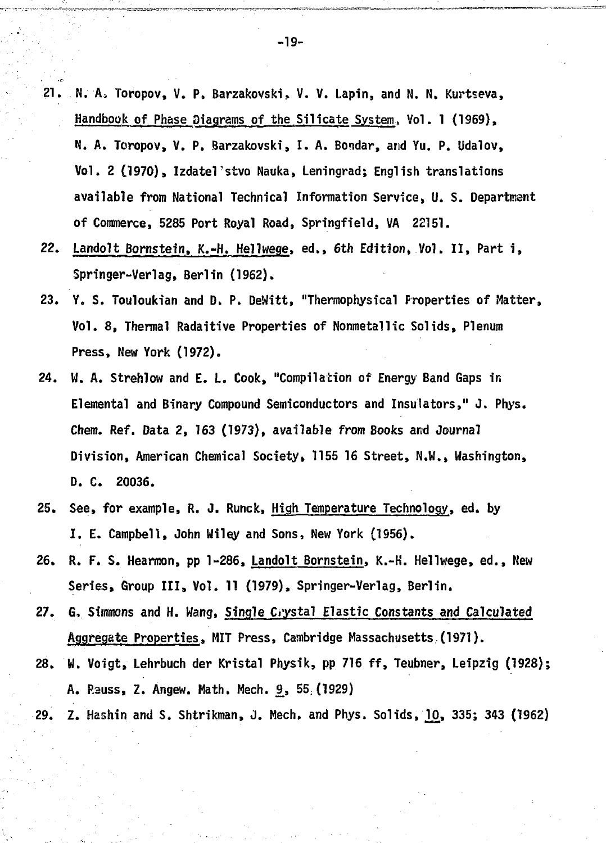- **21. N. Aa Toropov, V. P. Barzakovski, V. V. Lapin, and N. N. Kurtseva, Handbook of Phase Diagrams of the Silicate System, Vol. 1 (1969), N. A. Toropov, V. P. Barzakovski, I. A. Bondar, and Yu. P. Udalov,** Vol. 2 (1970), Izdatel'stvo Nauka, Leningrad; English translations **available from National Technical Information Service, U. S. Department of Commerce, 5285 Port Royal Road, Springfield, VA 22151.**
- **22. Landolt Bornstein, K.-H. Hellwege, ed., 6th Edition\* Vol. II, Part i, Springer-Verlag, Berlin (1962).**
- **23. Y. S. Touloukian and D. P. DeWitt, "Thermophysical Properties of Matter, Vol. 8, Thermal Radaitive Properties of Nonmetallic Solids, Plenum Press, New York (1972).**
- **24. W. A. Strehlow and E. L. Cook, "Compilation of Energy Band Gaps in Elemental and Binary Compound Semiconductors and Insulators," J. Phys. Chem. Ref. Data 2, 163 (1973), available from Books and Journal Division, American Chemical Society, 1155 16 Street, N.W., Washington, D. C. 20036.**
- **25. See, for example, R. J. Runck, High Temperature Technology, ed. by I. E. Campbell, John Wiley and Sons, New York (1956).**
- **26. R. F. S. Hearmon, pp 1-286, Landolt Bornstein, K.-H. Hellwege, ed., New Series, Group III, Vol. 11 (1979), Springer-Verlag, Berlin.**
- **27. G, Simmons and H. Wang, Single Crystal Elastic Constants and Calculated Aggregate Properties, MIT Press, Cambridge Massachusetts,(1971).**
- **28. W. Voigt, Lehrbuch der Kristal Physik, pp 716 ff, Teubner, Leipzig (1928); A. Rauss, Z. Angew. Math. Mech. £, 55;(1929)**
- **29. Z. Hashin and S. Shtrikman, J. Mech, and Phys. Solids, 10,, 335; 343 (1962)**

**-19-**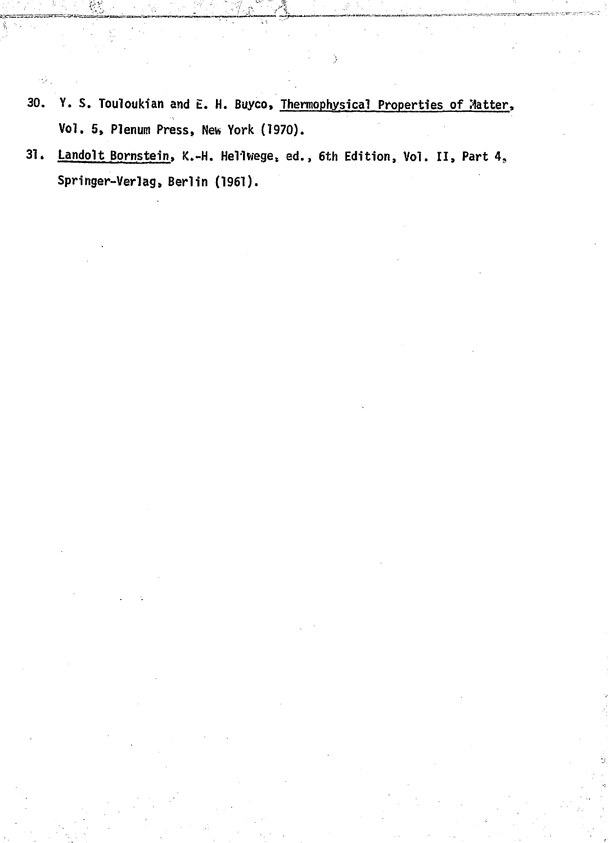**30. Y. S. Touloukian and E. H. Buyco, Thermophysical Properties of Matter, Vol. 5, Plenum Press, New York (1970).**

ψ.

Ś

**31. Landolt Bornstein. K.-H. Hellwege, ed., 6th Edition, Vol. II, Part 4<sup>9</sup> Springer-Verlag, Berlin (1961).**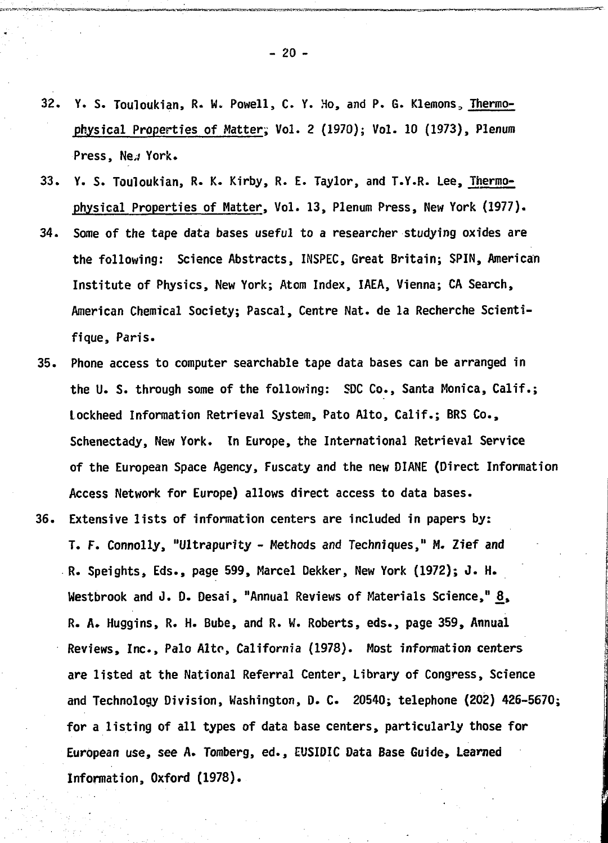- **32. Y. S. Touloukian, R- W. Powell, C. Y. Ho, and P. G. Klemons,, Thermophysical Properties of Matter, Vol. 2 (1970); Vol. 10 (1973), Plenum** Press, Ne./ York.
- **33. Y. S. Touloukian, R. K. Kirby, R. E. Taylor, and T.Y.R. Lee, Thermophysical Properties of Hatter, Vol. 13, Plenum Press, New York (1977).**
- **34. Some of the tape data bases useful to a researcher studying oxides are the following: Science Abstracts, INSPEC, Great Britain; SPIN, American Institute of Physics, New York; Atom Index, IAEA, Vienna; CA Search, American Chemical Society; Pascal, Centre Nat. de la Recherche Scientifique, Paris.**
- **35. Phone access to computer searchable tape data bases can be arranged in the U. S. through some of the following: SDC Co., Santa Monica, Calif.; Lockheed Information Retrieval System, Pato Alto, Calif.; BRS Co., Schenectady, New York. In Europe, the International Retrieval Service of the European Space Agency, Fuscaty and the new DIANE (Direct Information Access Network for Europe) allows direct access to data bases.**

**36. Extensive lists of information centers are included in papers by: T. F. Connolly, "Ultrapurity - Methods and Techniques," M. Zief and R. Speights, Eds., page 599, Marcel Dekker, New York (1972); J. H.** Westbrook and J. D. Desai, "Annual Reviews of Materials Science," 8, **R. A. Huggins, R. H. Bube, and R. W. Roberts, eds., page 359, Annual Reviews, Inc., Palo Alto, California (1978). Host information centers are listed at the National Referral Center, Library of Congress, Science and Technology Division, Washington, D. C. 20540; telephone (202) 426-5670; for a listing of all types of data base centers, particularly those for European use, see A. Tomberg, ed., EUSIDIC Data Base Guide, Learned Information, Oxford (1978).**

**- 20 -**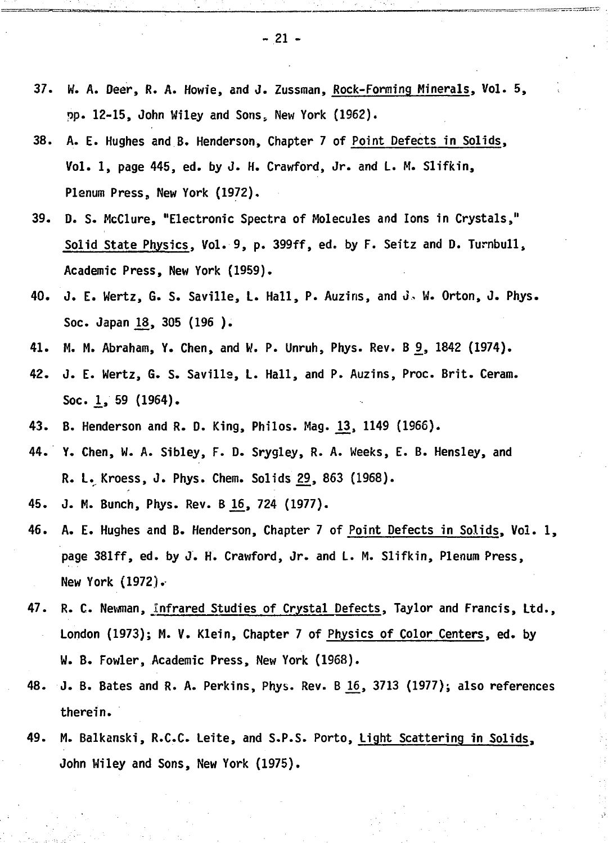- **37. W. A. Deer, R. A. Howie, and J. Zussman, Rock-Forming Minerals, Vol. 5, pp. 12-15, John Wiley and Sons. New York (1962).**
- **38. A. E. Hughes and B. Henderson, Chapter 7 of Point Defects in Solids, Vol. 1, page 445, ed. by J. H. Crawford, Jr. and L. M. Slifkin, Plenum Press, New York (1972).**
- **39. D. S. McClure, "Electronic Spectra of Molecules and Ions in Crystals," Solid State Physics, Vol. 9, p. 399ff, ed. by F. Seitz and D. Turnbull, Academic Press, New York (1959).**
- **40. J. E. Wertz, G. S. Saville, L. Hall, P. Auziris, and J, W. Orton, J. Phys.** Soc. Japan 18, 305 (196 ).
- **41. M. M. Abraham, Y. Chen, and W. P. Unruh, Phys. Rev. B 9, 1842 (1974).**
- **42. J. E. Wertz, G. S. Savills, L. Hall, and P. Auzins, Proc. Brit. Ceram. Soc. 1, 59 (1964).**
- **43. B. Henderson and R. D. King, Philos. Mag. J13, 1149 (1966).**
- **44. Y. Chen, W. A. Sibley, F. D. Srygley, R. A. Weeks, E. B. Hensley, and R. L. Kroess, J. Phys. Chem. Solids 29, 863 (1968).**
- **45. J. M. Bunch, Phys. Rev. B ^6 , 724 (1977).**
- **46. A. E. Hughes and B. Henderson, Chapter 7 of Point Defects in Solids, Vol. 1, page 381ff, ed. by J. H. Crawford, Jr. and L. M. Slifkin, Plenum Press, New York (1972).**
- **47. R. C. Newman, Infrared Studies of Crystal Defects, Taylor and Francis, Ltd., London (1973); M. V. Klein, Chapter 7 of Physics of Color Centers, ed. by W. B. Fowler, Academic Press, New York (1968).**
- **48. J. B. Bates and R. A. Perkins, Phys. Rev. B j^ , 3713 (1977); also references therein.**
- **49. M. Balkanski, R.C.C. Leite, and S.P.S. Porto, Light Scattering in Solids, John Wiley and Sons, New York (1975).**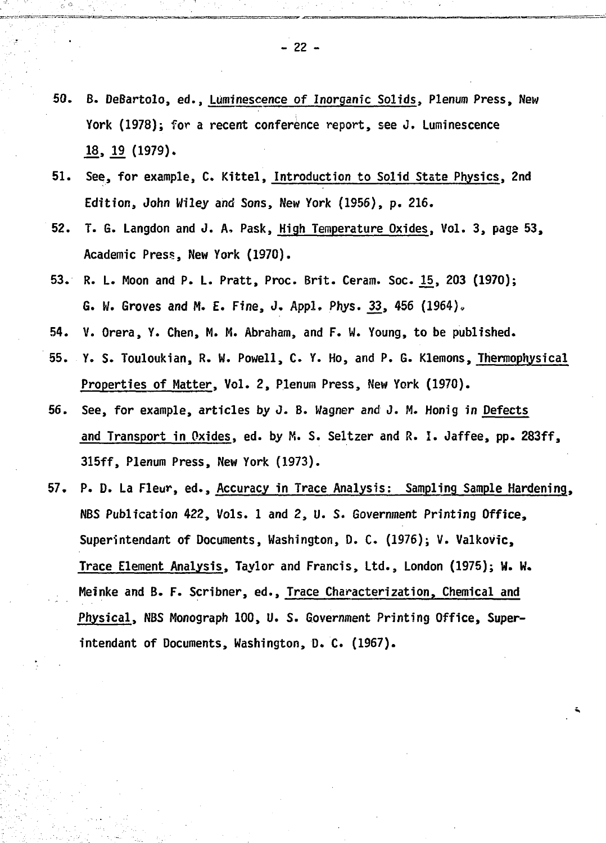- **50. B. DeBartolo, ed., Luminescence of Inorganic Solids, Plenum Press, New York (1978); for a recent conference report, see J. Luminescence .18, .19 (1979).**
- **51. See, for example, C. Kittel, Introduction to Solid State Physics, 2nd Edition, John Wiley and Sons, New York (1956), p. 216.**
- **52. T. G. Langdon and J. A, Pask, High Temperature Oxides, Vol. 3, paga 53, Academic Press, New York (1970).**
- **53. R. L. Moon and P. L. Pratt, Proc. Brit. Ceram. Soc. JL5, 203 (1970); G. W. Groves and M. E. Fine, J. Appl. Phys. .33, 456 (1964),**
- **54. V. Orera, Y. Chen, M. M. Abraham, and F. VI. Young, to be published.**
- **55. Y. S. Touloukian, R. W. Powell, C. Y. Ho, and P. G. Klemons, Thermophysical Properties of Matter, Vol. 2, Plenum Press, New York (1970).**
- **56. See, for example, articles by J. B. Wagner and 3. M. Honig in Defects and Transport in Oxides, ed. by M. S. Seltzer and R. I. Jaffee, pp. 283ff, 315ff, Plenum Press, New York (1973).**
- **57. P. D. La Fleur, ed., Accuracy in Trace Analysis: Sampling Sample Hardening, NBS Publication 422, Vols. 1 and 2, U. S. Government Printing Office, Superintendent of Documents, Washington, D. C. (1976); V. Valkovic, Trace Element Analysis, Taylor and Francis, Ltd., London (1975); W. W. Meinke and B. F. Scribner, ed., Trace Characterization, Chemical and Physical, NBS Monograph 100, U. S. Government Printing Office, Superintendant of Documents, Washington, D. C. (1967).**

**- 22 -**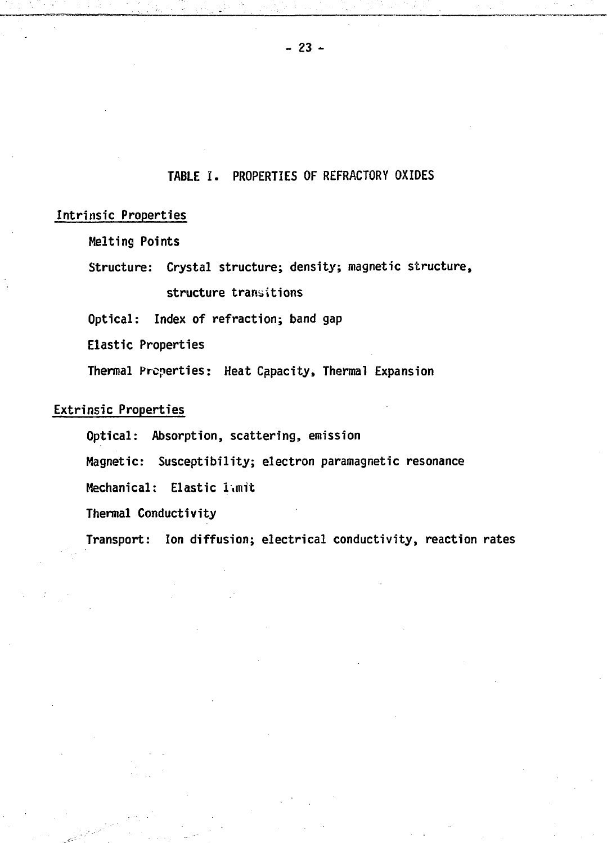# **TABLE I. PROPERTIES OF REFRACTORY OXIDES**

#### **Intrinsic Properties**

**Melting Points**

**Structure: Crystal structure; density; magnetic structure, structure transitions**

**Optical: Index of refraction; band gap**

**Elastic Properties**

**Thermal Properties: Heat Capacity, Thermal Expansion**

# **Extrinsic Properties**

**Optical: Absorption, scattering, emission**

**Magnetic: Susceptibility; electron paramagnetic resonance**

**Mechanical: Elastic limit**

**Thermal Conductivity**

**Transport: Ion diffusion; electrical conductivity, reaction rates**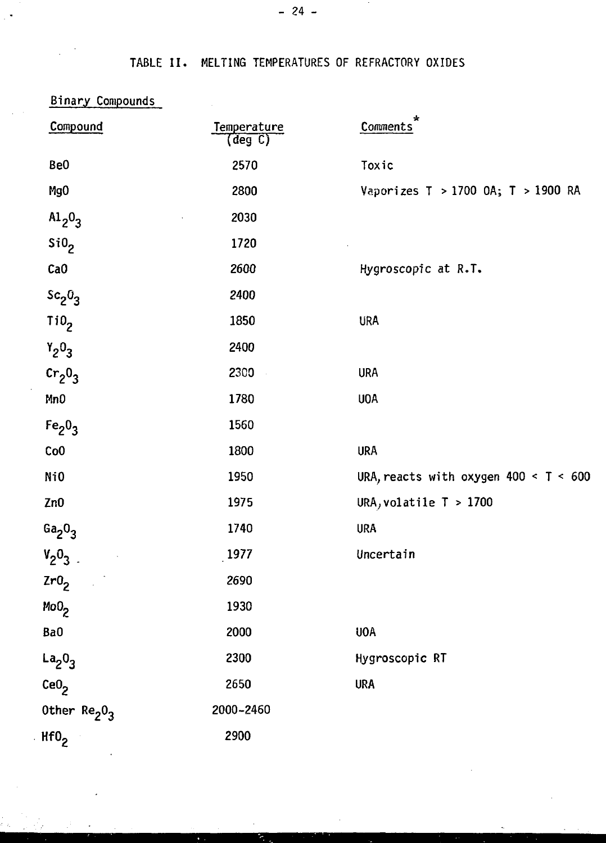TABLE II. MELTING TEMPERATURES OF REFRACTORY OXIDES

| <b>Binary Compounds</b>              |                        |                                         |
|--------------------------------------|------------------------|-----------------------------------------|
| Compound                             | Temperature<br>(deg C) | Comments                                |
| Be <sub>0</sub>                      | 2570                   | Toxic                                   |
| Mg <sub>0</sub>                      | 2800                   | Vaporizes T > 1700 OA; T > 1900 RA      |
| $Al_2O_3$                            | 2030                   |                                         |
| Si0 <sub>2</sub>                     | 1720                   |                                         |
| CaO                                  | 2600                   | Hygroscopic at R.T.                     |
| $sc_2 0_3$                           | 2400                   |                                         |
| TiO <sub>2</sub>                     | 1850                   | <b>URA</b>                              |
| $Y_2O_3$                             | 2400                   |                                         |
| $cr_20_3$                            | 2300                   | <b>URA</b>                              |
| Mn <sub>0</sub>                      | 1780                   | UOA                                     |
| Fe <sub>2</sub> O <sub>3</sub>       | 1560                   |                                         |
| Co <sub>0</sub>                      | 1800                   | <b>URA</b>                              |
| Ni0                                  | 1950                   | URA, reacts with oxygen $400 < T < 600$ |
| Zn <sub>0</sub>                      | 1975                   | URA, volatile $T > 1700$                |
| Ga <sub>2</sub> O <sub>3</sub>       | 1740                   | <b>URA</b>                              |
| $V_2O_3$                             | 1977                   | Uncertain                               |
| Zr0 <sub>2</sub>                     | 2690                   |                                         |
| MoO <sub>2</sub>                     | 1930                   |                                         |
| Ba0                                  | 2000                   | <b>UOA</b>                              |
| $La_2O_3$                            | 2300                   | Hygroscopic RT                          |
| $\text{CeO}_2$                       | 2650                   | <b>URA</b>                              |
| Other Re <sub>2</sub> 0 <sub>3</sub> | 2000-2460              |                                         |
| Hf0 <sub>2</sub>                     | 2900                   |                                         |

 $\mathbb{R}^4$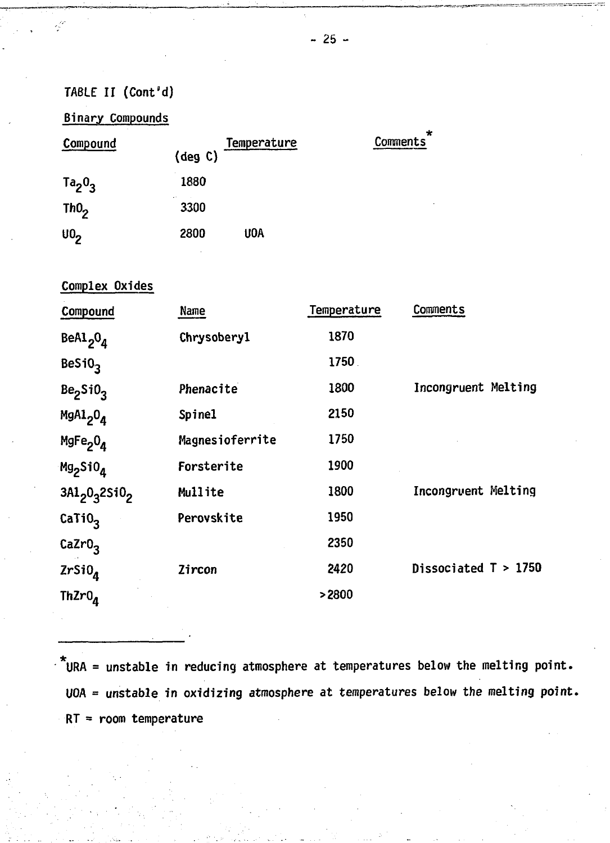**Binary Compounds**

| Compound         | Temperature<br>(deg C) | Comments |
|------------------|------------------------|----------|
| $Ta_20_3$        | 1880                   |          |
| ThO <sub>2</sub> | e s<br>3300            |          |
| 0 <sub>2</sub>   | 2800<br>UOA            |          |

# **Complex Oxides**

| Compound                         | <b>Name</b>     | Temperature | Comments               |
|----------------------------------|-----------------|-------------|------------------------|
| BeAl <sub>2</sub> $0_d$          | Chrysobery1     | 1870        |                        |
| BeSiO <sub>3</sub>               |                 | 1750.       |                        |
| Be <sub>2</sub> SiO <sub>3</sub> | Phenacite       | 1800        | Incongruent Melting    |
| MgAl <sub>2</sub> O <sub>4</sub> | Spine1          | 2150        |                        |
| MgFe <sub>2</sub> O <sub>4</sub> | Magnesioferrite | 1750        |                        |
| Mg <sub>2</sub> SiO <sub>4</sub> | Forsterite      | 1900        |                        |
| $3A1_20_32510_2$                 | Mullite         | 1800        | Incongruent Melting    |
| CaTiO <sub>3</sub>               | Perovskite      | 1950        |                        |
| CaZr0 <sub>3</sub>               |                 | 2350        |                        |
| $ZrSi0_A$                        | Zircon          | 2420        | Dissociated $T > 1750$ |
| Th $Zr0_A$                       |                 | >2800       |                        |

**URA = unstable in reducing atmosphere at temperatures below the melting point. UOA = unstable in oxidizing atmosphere at temperatures below the melting point. RT = room temperature**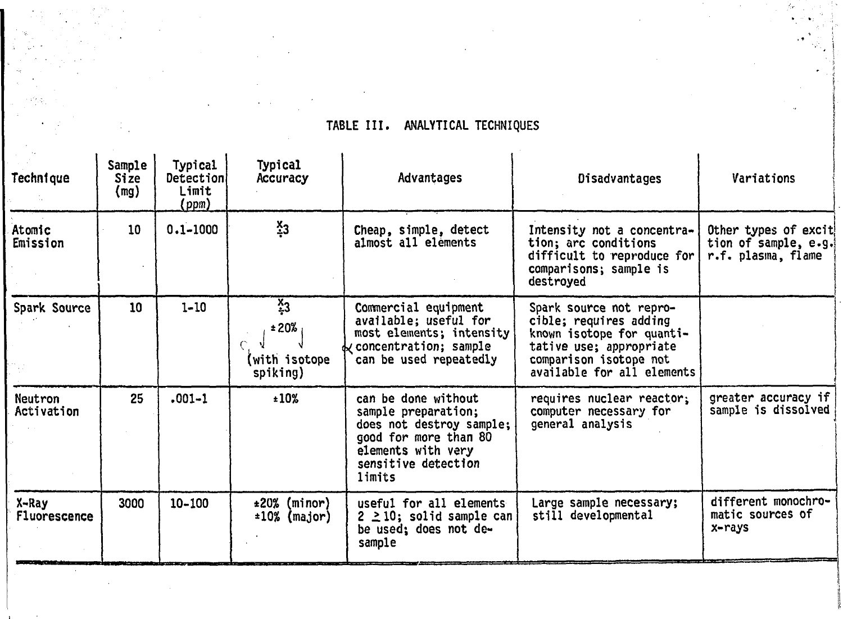| TABLE III. | ANALYTICAL TECHNIQUES |  |
|------------|-----------------------|--|
|------------|-----------------------|--|

 $\sim 10^{11}$ 

 $\mathcal{L}^{\mathcal{L}}$ 

 $\mathcal{L}^{\text{max}}_{\text{max}}$ 

 $\label{eq:2} \frac{1}{2} \sum_{i=1}^n \frac{1}{2} \sum_{j=1}^n \frac{1}{2} \sum_{j=1}^n \frac{1}{2} \sum_{j=1}^n \frac{1}{2} \sum_{j=1}^n \frac{1}{2} \sum_{j=1}^n \frac{1}{2} \sum_{j=1}^n \frac{1}{2} \sum_{j=1}^n \frac{1}{2} \sum_{j=1}^n \frac{1}{2} \sum_{j=1}^n \frac{1}{2} \sum_{j=1}^n \frac{1}{2} \sum_{j=1}^n \frac{1}{2} \sum_{j=1}^n \frac{1}{$ 

 $\mathcal{L}^{\text{max}}_{\text{max}}$ 

and the contract of the con-

 $\epsilon_{\rm c}$ 

 $\frac{1}{2} \frac{1}{2} \frac{1}{2} \frac{1}{2}$ 

 $\mathcal{A}^{\text{max}}_{\text{max}}$  $\mathcal{L}^{\text{max}}$ 

| Technique             | Sample<br><b>Size</b><br>(mg) | Typical<br>Detection<br>Limit<br>(ppm) | <b>Typical</b><br>Accuracy                           | Advantages                                                                                                                                             | Disadvantages                                                                                                                                                     | Variations                                                          |
|-----------------------|-------------------------------|----------------------------------------|------------------------------------------------------|--------------------------------------------------------------------------------------------------------------------------------------------------------|-------------------------------------------------------------------------------------------------------------------------------------------------------------------|---------------------------------------------------------------------|
| Atomic<br>Emission    | 10                            | $0.1 - 1000$                           | $\frac{x}{4}3$                                       | Cheap, simple, detect<br>almost all elements                                                                                                           | Intensity not a concentra-<br>tion; arc conditions<br>difficult to reproduce for<br>comparisons; sample is<br>destroyed                                           | Other types of excit!<br>tion of sample, e.g.<br>r.f. plasma, flame |
| Spark Source          | 10                            | $1 - 10$                               | $\frac{X}{4}$ 3<br>±20%<br>(with isotope<br>spiking) | Commercial equipment<br>available; useful for<br>most elements; intensity<br>concentration; sample<br>can be used repeatedly                           | Spark source not repro-<br>cible; requires adding<br>known isotope for quanti-<br>tative use; appropriate<br>comparison isotope not<br>available for all elements |                                                                     |
| Neutron<br>Activation | 25                            | $.001 - 1$                             | ±10%                                                 | can be done without<br>sample preparation;<br>does not destroy sample;<br>good for more than 80<br>elements with very<br>sensitive detection<br>limits | requires nuclear reactor;<br>computer necessary for<br>general analysis                                                                                           | greater accuracy if<br>sample is dissolved                          |
| X-Ray<br>Fluorescence | 3000                          | $10 - 100$                             | ±20%<br>(minor)<br>$\pm 10\%$ (major)                | useful for all elements<br>$2 \geq 10$ ; solid sample can<br>be used; does not de-<br>sample                                                           | Large sample necessary;<br>still developmental                                                                                                                    | different monochro-<br>matic sources of<br>x-rays                   |